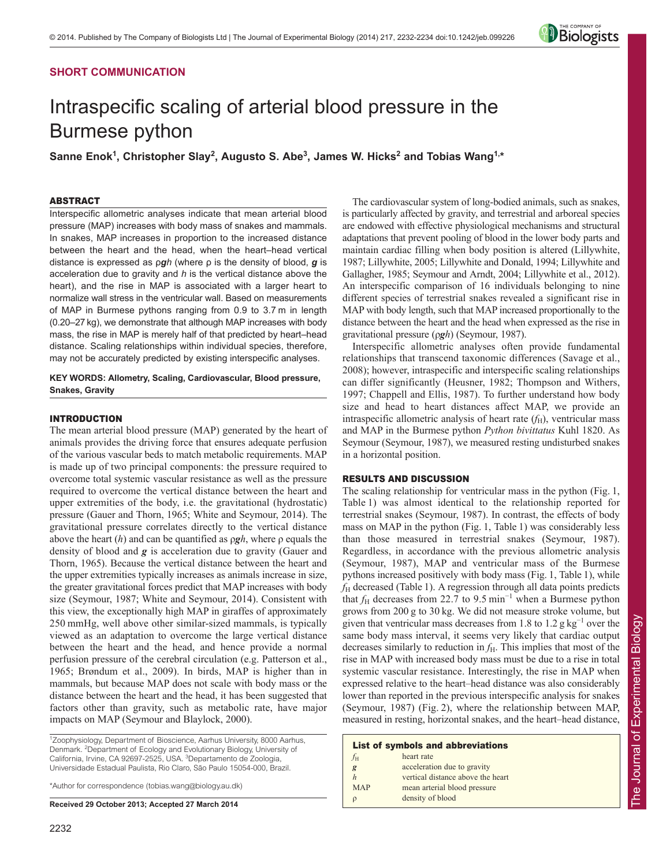## **SHORT COMMUNICATION**

# Intraspecific scaling of arterial blood pressure in the Burmese python

Sanne Enok<sup>1</sup>, Christopher Slay<sup>2</sup>, Augusto S. Abe<sup>3</sup>, James W. Hicks<sup>2</sup> and Tobias Wang<sup>1,\*</sup>

## ABSTRACT

Interspecific allometric analyses indicate that mean arterial blood pressure (MAP) increases with body mass of snakes and mammals. In snakes, MAP increases in proportion to the increased distance between the heart and the head, when the heart–head vertical distance is expressed as ρ*gh* (where ρ is the density of blood, *g* is acceleration due to gravity and *h* is the vertical distance above the heart), and the rise in MAP is associated with a larger heart to normalize wall stress in the ventricular wall. Based on measurements of MAP in Burmese pythons ranging from 0.9 to 3.7 m in length (0.20–27 kg), we demonstrate that although MAP increases with body mass, the rise in MAP is merely half of that predicted by heart–head distance. Scaling relationships within individual species, therefore, may not be accurately predicted by existing interspecific analyses.

### **KEY WORDS: Allometry, Scaling, Cardiovascular, Blood pressure, Snakes, Gravity**

## INTRODUCTION

The mean arterial blood pressure (MAP) generated by the heart of animals provides the driving force that ensures adequate perfusion of the various vascular beds to match metabolic requirements. MAP is made up of two principal components: the pressure required to overcome total systemic vascular resistance as well as the pressure required to overcome the vertical distance between the heart and upper extremities of the body, i.e. the gravitational (hydrostatic) pressure (Gauer and Thorn, 1965; White and Seymour, 2014). The gravitational pressure correlates directly to the vertical distance above the heart (*h*) and can be quantified as ρ*gh*, where ρ equals the density of blood and *g* is acceleration due to gravity (Gauer and Thorn, 1965). Because the vertical distance between the heart and the upper extremities typically increases as animals increase in size, the greater gravitational forces predict that MAP increases with body size (Seymour, 1987; White and Seymour, 2014). Consistent with this view, the exceptionally high MAP in giraffes of approximately 250 mmHg, well above other similar-sized mammals, is typically viewed as an adaptation to overcome the large vertical distance between the heart and the head, and hence provide a normal perfusion pressure of the cerebral circulation (e.g. Patterson et al., 1965; Brøndum et al., 2009). In birds, MAP is higher than in mammals, but because MAP does not scale with body mass or the distance between the heart and the head, it has been suggested that factors other than gravity, such as metabolic rate, have major impacts on MAP (Seymour and Blaylock, 2000).

<sup>1</sup> Zoophysiology, Department of Bioscience, Aarhus University, 8000 Aarhus, Denmark. <sup>2</sup> Department of Ecology and Evolutionary Biology, University of California, Irvine, CA 92697-2525, USA. <sup>3</sup>Departamento de Zoologia, Universidade Estadual Paulista, Rio Claro, São Paulo 15054-000, Brazil.

\*Author for correspondence (tobias.wang@biology.au.dk)

**Received 29 October 2013; Accepted 27 March 2014**

The cardiovascular system of long-bodied animals, such as snakes, is particularly affected by gravity, and terrestrial and arboreal species are endowed with effective physiological mechanisms and structural adaptations that prevent pooling of blood in the lower body parts and maintain cardiac filling when body position is altered (Lillywhite, 1987; Lillywhite, 2005; Lillywhite and Donald, 1994; Lillywhite and Gallagher, 1985; Seymour and Arndt, 2004; Lillywhite et al., 2012). An interspecific comparison of 16 individuals belonging to nine different species of terrestrial snakes revealed a significant rise in MAP with body length, such that MAP increased proportionally to the distance between the heart and the head when expressed as the rise in gravitational pressure (ρ*gh*) (Seymour, 1987).

**Biologists** 

Interspecific allometric analyses often provide fundamental relationships that transcend taxonomic differences (Savage et al., 2008); however, intraspecific and interspecific scaling relationships can differ significantly (Heusner, 1982; Thompson and Withers, 1997; Chappell and Ellis, 1987). To further understand how body size and head to heart distances affect MAP, we provide an intraspecific allometric analysis of heart rate  $(f<sub>H</sub>)$ , ventricular mass and MAP in the Burmese python *Python bivittatus* Kuhl 1820. As Seymour (Seymour, 1987), we measured resting undisturbed snakes in a horizontal position.

#### RESULTS AND DISCUSSION

The scaling relationship for ventricular mass in the python (Fig. 1, Table 1) was almost identical to the relationship reported for terrestrial snakes (Seymour, 1987). In contrast, the effects of body mass on MAP in the python (Fig. 1, Table 1) was considerably less than those measured in terrestrial snakes (Seymour, 1987). Regardless, in accordance with the previous allometric analysis (Seymour, 1987), MAP and ventricular mass of the Burmese pythons increased positively with body mass (Fig. 1, Table 1), while *f*<sup>H</sup> decreased (Table 1). A regression through all data points predicts that *f*H decreases from 22.7 to 9.5 min<sup>-1</sup> when a Burmese python grows from 200 g to 30 kg. We did not measure stroke volume, but given that ventricular mass decreases from 1.8 to 1.2 g  $kg^{-1}$  over the same body mass interval, it seems very likely that cardiac output decreases similarly to reduction in  $f<sub>H</sub>$ . This implies that most of the rise in MAP with increased body mass must be due to a rise in total systemic vascular resistance. Interestingly, the rise in MAP when expressed relative to the heart–head distance was also considerably lower than reported in the previous interspecific analysis for snakes (Seymour, 1987) (Fig. 2), where the relationship between MAP, measured in resting, horizontal snakes, and the heart–head distance,

## List of symbols and abbreviations

| $f_{\rm H}$      | heart rate                        |
|------------------|-----------------------------------|
| $\boldsymbol{g}$ | acceleration due to gravity       |
| $\boldsymbol{h}$ | vertical distance above the heart |
| <b>MAP</b>       | mean arterial blood pressure      |
| $\rho$           | density of blood                  |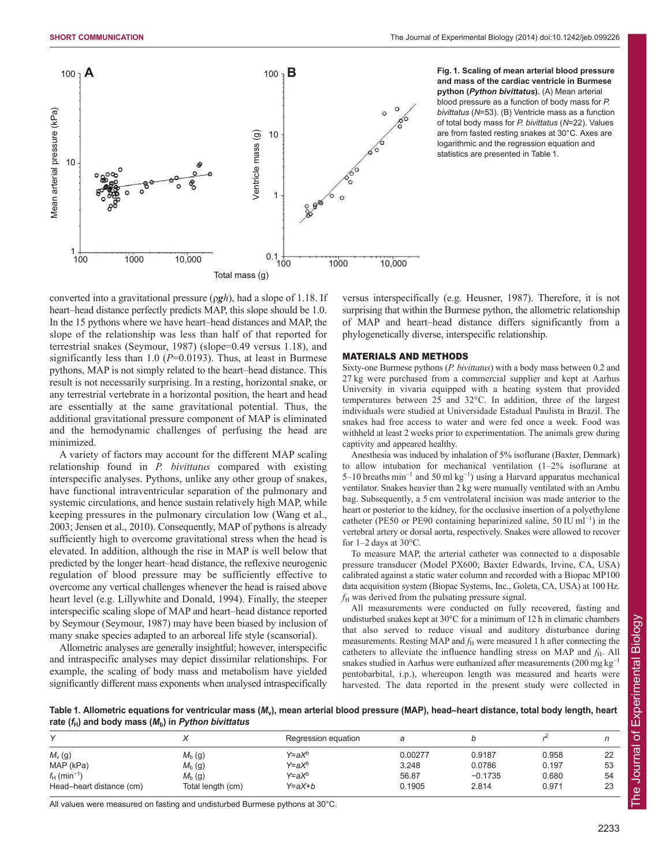

**Fig. 1. Scaling of mean arterial blood pressure and mass of the cardiac ventricle in Burmese python (***Python bivittatus***).** (A) Mean arterial blood pressure as a function of body mass for *P. bivittatus* (*N*=53). (B) Ventricle mass as a function of total body mass for *P. bivittatus* (*N*=22). Values are from fasted resting snakes at 30°C. Axes are logarithmic and the regression equation and statistics are presented in Table 1.

converted into a gravitational pressure (ρ*gh*), had a slope of 1.18. If heart–head distance perfectly predicts MAP, this slope should be 1.0. In the 15 pythons where we have heart–head distances and MAP, the slope of the relationship was less than half of that reported for terrestrial snakes (Seymour, 1987) (slope=0.49 versus 1.18), and significantly less than 1.0 (*P*=0.0193). Thus, at least in Burmese pythons, MAP is not simply related to the heart–head distance. This result is not necessarily surprising. In a resting, horizontal snake, or any terrestrial vertebrate in a horizontal position, the heart and head are essentially at the same gravitational potential. Thus, the additional gravitational pressure component of MAP is eliminated and the hemodynamic challenges of perfusing the head are minimized.

A variety of factors may account for the different MAP scaling relationship found in *P. bivittatus* compared with existing interspecific analyses. Pythons, unlike any other group of snakes, have functional intraventricular separation of the pulmonary and systemic circulations, and hence sustain relatively high MAP, while keeping pressures in the pulmonary circulation low (Wang et al., 2003; Jensen et al., 2010). Consequently, MAP of pythons is already sufficiently high to overcome gravitational stress when the head is elevated. In addition, although the rise in MAP is well below that predicted by the longer heart–head distance, the reflexive neurogenic regulation of blood pressure may be sufficiently effective to overcome any vertical challenges whenever the head is raised above heart level (e.g. Lillywhite and Donald, 1994). Finally, the steeper interspecific scaling slope of MAP and heart–head distance reported by Seymour (Seymour, 1987) may have been biased by inclusion of many snake species adapted to an arboreal life style (scansorial).

Allometric analyses are generally insightful; however, interspecific and intraspecific analyses may depict dissimilar relationships. For example, the scaling of body mass and metabolism have yielded significantly different mass exponents when analysed intraspecifically

versus interspecifically (e.g. Heusner, 1987). Therefore, it is not surprising that within the Burmese python, the allometric relationship of MAP and heart–head distance differs significantly from a phylogenetically diverse, interspecific relationship.

### MATERIALS AND METHODS

Sixty-one Burmese pythons (*P. bivittatus*) with a body mass between 0.2 and 27 kg were purchased from a commercial supplier and kept at Aarhus University in vivaria equipped with a heating system that provided temperatures between 25 and 32°C. In addition, three of the largest individuals were studied at Universidade Estadual Paulista in Brazil. The snakes had free access to water and were fed once a week. Food was withheld at least 2 weeks prior to experimentation. The animals grew during captivity and appeared healthy.

Anesthesia was induced by inhalation of 5% isoflurane (Baxter, Denmark) to allow intubation for mechanical ventilation (1–2% isoflurane at 5–10 breaths min<sup>−</sup><sup>1</sup> and 50 ml kg<sup>−</sup><sup>1</sup> ) using a Harvard apparatus mechanical ventilator. Snakes heavier than 2 kg were manually ventilated with an Ambu bag. Subsequently, a 5 cm ventrolateral incision was made anterior to the heart or posterior to the kidney, for the occlusive insertion of a polyethylene catheter (PE50 or PE90 containing heparinized saline, 50 IU ml<sup>-1</sup>) in the vertebral artery or dorsal aorta, respectively. Snakes were allowed to recover for  $1-2$  days at  $30^{\circ}$ C.

To measure MAP, the arterial catheter was connected to a disposable pressure transducer (Model PX600; Baxter Edwards, Irvine, CA, USA) calibrated against a static water column and recorded with a Biopac MP100 data acquisition system (Biopac Systems, Inc., Goleta, CA, USA) at 100 Hz.  $f<sub>H</sub>$  was derived from the pulsating pressure signal.

All measurements were conducted on fully recovered, fasting and undisturbed snakes kept at 30°C for a minimum of 12 h in climatic chambers that also served to reduce visual and auditory disturbance during measurements. Resting MAP and  $f_H$  were measured 1 h after connecting the catheters to alleviate the influence handling stress on MAP and  $f<sub>H</sub>$ . All snakes studied in Aarhus were euthanized after measurements (200 mg kg<sup>-1</sup> pentobarbital, i.p.), whereupon length was measured and hearts were harvested. The data reported in the present study were collected in

**Table 1. Allometric equations for ventricular mass (***M***v), mean arterial blood pressure (MAP), head–heart distance, total body length, heart rate (***f***H) and body mass (***M***b) in** *Python bivittatus*

|                            |                   | Regression equation |         |           |       |    |
|----------------------------|-------------------|---------------------|---------|-----------|-------|----|
| $M_v(g)$                   | $M_b$ (g)         | Y=aX°               | 0.00277 | 0.9187    | 0.958 | 22 |
| MAP (kPa)                  | $M_{\rm b}$ (g)   | Y=aX <sup>b</sup>   | 3.248   | 0.0786    | 0.197 | 53 |
| $f_H$ (min <sup>-1</sup> ) | $M_{\rm b}$ (g)   | Y=aX <sup>b</sup>   | 56.87   | $-0.1735$ | 0.680 | 54 |
| Head-heart distance (cm)   | Total length (cm) | Y=aX+b              | 0.1905  | 2.814     | 0.971 | 23 |

All values were measured on fasting and undisturbed Burmese pythons at 30°C.